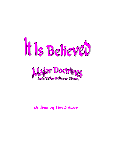



# Outlines by Tim O'Hearn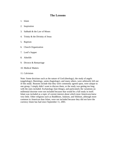#### **The Lessons**

- 1. Islam
- 2. Inspiration
- 3. Sabbath & the Law of Moses
- 4. Trinity & the Divinity of Jesus
- 5. Baptism
- 6. Church Organization
- 7. Lord's Supper
- 8. Afterlife
- 9. Divorce & Remarriage
- 10. Medical Matters
- 11. Calvinism

Note: Some doctrines such as the nature of God (theology), the study of angels (angelology), Mariology, saints (hagiology), and many others, were arbitrarily left out of this study. Reasons include that they were commonly agreed upon, were unique to one group, I simply didn't want to discuss them, or the study was getting too long with the ones included. Eschatology (last things), and particularly the variations on millennial doctrine were not included because that would be a full study in itself. Islam was included as a topic of current interest about which most Americans knew very little. Other religions such as Buddhism, Judaism, and Sikhism, although more common in American than Islam, were not included because they did not have the currency Islam has had since September 11, 2001.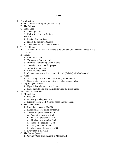#### **Islam**

- I. A brief history
	- A. Mohammed, the Prophet (570-632 AD)
	- B. The Caliphs
	- C. Sunni Sect
		- 1. The largest sect
		- 2. Follow the first five Caliphs
	- D. Shiite Sect
		- 1. Persian (Iranian) Islam
		- 2. Reject the first three Caliphs
		- 3. The twelve Imam's and the Mahdi
- II. The Five Pillars
	- A. LA-ILAHA-ILLA-ALLAH "There is no God but God, and Mohammed is His prophet."
	- B. Prayer
		- 1. Five times a day
		- 2. The earth is God's holy place
		- 3. Washing with running water or sand
		- 4. The raka'h, the ritual for prayer.
	- C. Fasting during Ramadan
		- 1. From dawn to sunset
		- 2. Commemorates the first contact of Jibril (Gabriel) with Mohammed
	- D. Alms
		- 1. According to a mathematical formula, but voluntary
		- 2. Usually given to government or schools/mosques today
	- E. Pilgrimage to Mecca
		- 1. If possible (only about 10% do so)
		- 2. Earns the title Haji and the right to wear the green turban
- III. Fundamental Doctrines
	- A. Monotheism
		- 1. One God
		- 2. No trinity, no begotten Son
		- 3. Equality before God. No man needs an intercessor.
	- B. The Nabis (Prophets)
		- 1. Possibly as many as 124,000
		- 2. Each prophet was suited for his time
		- 3. The six People of Determination
			- a. Adam, the chosen of God
			- b. Noah, the preacher of God
			- c. Abraham, the friend of God
			- d. Moses, the speaker of God
			- e. Jesus, the word of God
			- f. Mohammed, the Apostle of God
		- 4. Every man is a Muslim
	- C. The Qur'an (Koran)
		- 1. Given by God through Jibril to Mohammed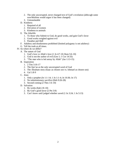- 2. The only uncorrupted, never changed text of God's revelation (although some non-Muslims would argue it has been changed)
- 3. Untranslatable
- D. Kindness
	- 1. Required of all
	- 2. Elevation of women
	- 3. Kindness to animals
- E. The Afterlife
	- 1. To those who Submit to God, do good works, and gain God's favor
	- 2. Good works weighed against evil
	- 3. Paradise and Hell
- F. Adultery and drunkenness prohibited (limited polygamy is not adultery)
- G. Tell the truth at all times.
- IV. So where do we differ?
	- A. The nature of God
		- 1. God's love vs Allah's love (1 Jn 4:7-10; Rom 5:6-10)
		- 2. God is not the author of evil (Gen 1; 1 Cor 14:33)
		- 3. "The man who is led astray by Allah" (Jas 1:13-15)
	- B. Inspiration
		- 1. 2 Tim 3:16-17
		- 2. The Qur'an as the only uncorrupted word of God
		- 3. The Abraham story (Isaac as chosen son vs. Ishmael as chosen son)
		- 4. Gal 1:8-9
	- C. Jesus
		- 1. Only a prophet (Jn 1:1-14; 1 Jn 1:1-4; Jn 10:30; Jn 17)
		- 2. No substitutionary sacrifice (Heb 9:26-28)
		- 3. Second coming (2 Thes 1:6-10)
	- D. Salvation
		- 1. By works (Eph 2:8-10)
		- 2. By God's good favor (2 Pet 3:9)
		- 3. Can't know until judged whether saved (1 Jn 3:24; 1 Jn 5:13)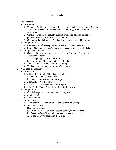## **Inspiration**

- I. The Doctrines
	- A. Inspiration
		- 1. Verbal—Word for word inspired, but using personality of the writer; Baptists, Jehovah's Witnesses, Latter Day Saints (KJV only), Roman Catholic, **Adventists**
		- 2. General—Thought for thought inspired, writer had personal choice of phrasing; Baptists, Episcopals, Presbyterians, Quakers
		- 3. Common (like Shakspere or Stephen King)—Modernists, Unitarians
	- B. Interpretation
		- 1. Literal—Most who accept verbal inspiration, "Fundamentalists"
		- 2. Fluid—Christian Science, Congregationalists, Lutherans, Methodists
	- C. Completeness of Bible
		- 1. Canon of Bible without Apocrypha—Eastern Orthodox, Protestants
		- 2. Additional scriptures
			- a. The Apocrypha—Roman Catholics
			- b. The Book of Mormon—Latter Day Saints
		- 3. Tongues—Pentecostals, many in each group
		- 4. Vital concept relating to authority of scriptures.
- II. What does the Bible say?
	- A. Inspiration
		- 1. 2 Tim 3:16—literally "Breathed by God"
			- a. Not "in spired" (breathed in)
			- b. Does not address method but origin
		- 2. 2 Tim 2:15—Word of truth
		- 3. 2 Pet 1:21—"As moved by the Holy Spirit."
		- 4. 1 Cor 2:13—"Words" which the Holy Spirit teaches
	- B. Interpretation
		- 1. If verbal inspiration, then each word is important.
		- 2. 2 Pet 1:19-20
		- 3. 2 Tim 1:13-14
	- C. Completeness
		- 1. At no point does Bible say this is the last inspired writing.
		- 2. What about 2 Pet 1:3?
		- 3. Have tongues ended?
			- a. 1 Cor 13:8-10—Can not be second coming or end of world
			- b. Acts 8:14-20—"through laying on of the apostles' hands"
			- c. If not, then why not accept the Qur'an?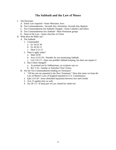#### **The Sabbath and the Law of Moses**

- I. The Doctrines
	- A. Entire Law required—Some Messianic Jews
	- B. Ten Commandments—Seventh Day Adventists, Seventh Day Baptists
	- C. Ten Commandments but Sabbath changed—Some Catholics and others
	- D. Ten Commandments less Sabbath—Most Protestant groups
	- E. None of the Law—Some churches of Christ
- II. What does the Bible say?
	- A. The Sabbath
		- 1. Commanded
			- a. Ex 16:22-30
			- b. Ex 20:10-11
			- c. Deut 5:12-15
		- 2. Does it apply today?
			- a. Matt 24:20
			- b. Acts 15:23-29—Notable for not mentioning Sabbath
			- c. Col 2:16-17—Does not prohibit Sabbath keeping, but does not require it
		- 3. Has it been changed?
			- a. As pointed out by Sabbatarians, no scripture says so.
			- b. Rev 1:10—Sunday or Saturday? Don't know.
	- B. Are the Ten Commandments binding on Christians?
		- 1. "All but one are repeated in the New Testament." Does that mean we keep the Law of Moses? Laws of England repeated in U.S. Constitutuion.
		- 2. Eph 2:14-18—Jesus abolished separation between Jew and Gentile
		- 3. Acts 15 applies here as well.
		- 4. Jas 2:8-13—If keep part of Law, bound by whole law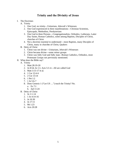## **Trinity and the Divinity of Jesus**

- I. The Doctrines
	- A. Trinity
		- 1. One God, no trinity—Unitarians, Jehovah's Witnesses
		- 2. One God experienced in three manifestations—Christian Scientists, Episcopals, Methodists, Presbyterians
		- 3. One God in three Persons—Congregationalists, Orthodox, Lutherans, Latter Day Saints, Roman Catholics, some among Baptists, Disciples of Christ, churches of Christ
		- 4. Not a doctrine essential to understand—most Baptists, many Disciples of Christ, many in churches of Christ, Quakers
	- B. Deity of Christ
		- 1. Christ was not divine—Unitarians, Jehovah's Witnesses
		- 2. Christ became divine—some minor groups
		- 3. Christ was fully God and fully man—Roman Catholics, Orthodox, most Protestant Groups not previously mentioned.
- II. What does the Bible say?
	- A. Trinity
		- 1. Matt 28:19-20
		- 2. Jn 8:54; Jn 1:1; Acts 5:3-4—All are called God
		- 3. Matt 3:13-17 et al.
		- 4. 1 Cor 12:4-6
		- 5. 2 Cor 13:14
		- 6. 1 Pet 1:2
		- 7. 1 Jn 5:6-7
		- 8. Does Genesis 1 ("Let US …") teach the Trinity? No. a. Ex 7:1
			- b. Jud 11:24
	- B. Deity of Christ
		- 1. Jn 1:1-14
		- 2. 1 Jn 4:14-16
		- 3. Jn 10:30
		- 4. Jn 17:11
		- 5. Mt 1:23
		- 6. Acts 20:28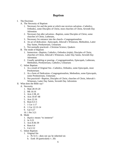# **Baptism**

- I. The Doctrines
	- A. The Necessity of Baptism
		- 1. Necessary for and the point at which one receives salvation—Catholics, Orthodox, some Disciples of Christ, most churches of Christ, Seventh Day Adventists
		- 2. Necessary but after salvation—Baptists, some Disciples of Christ, some churches of Christ, Lutherans,
		- 3. Necessary for entrance into the church—Congregationalists
		- 4. An act of dedication—Episcopals, Jehovah's Witnesses, Methodists, Latter Day Saints, Presbyterians, Unitarians
		- 5. Not normally practiced—Christian Science, Quakers
	- B. The mode of Baptism
		- 1. Immersion—Baptists, Catholics, Orthodox (triple), Disciples of Christ, churches of Christ, Jehovah's Witnesses, Latter Day Saints, Seventh Day **Adventists**
		- 2. Usually sprinkling or pouring—Congregationalists, Episcopals, Lutherans, Methodists, Presbyterians, Catholics, Unitarians
	- C. Infant Baptism
		- 1. As a result of Original Sin—Catholics, Orthodox, some Episcopals, most Presbyterians
		- 2. As a form of Dedication—Congregationalists, Methodists, some Episcopals, some Presbyterians, Unitarians
		- 3. Not practiced—Baptists, Disciples of Christ, churches of Christ, Jehovah's Witnesses, Latter Day Saints, Seventh Day Adventists
- II. What does the Bible say?
	- A. Necessity
		- 1. Matt 28:19-20
		- 2. Mk 16:16
		- 3. Acts 2:38, 41
		- 4. Acts 10:47-48
		- 5. Acts 22:16
		- 6. Rom 6:3-5
		- 7. 1 Cor 1:17
		- 8. 1 Cor 12:13-14
		- 9. Gal 3:27
		- 10. 1 Pet 3:21
	- B. Mode
		- 1. *Baptizo* means "to immerse"
		- 2. Jn 3:23
		- 3. Acts 8:36-39
		- 4. Rom 6:4
		- 5. Col 2:12
	- C. Infant Baptism
		- 1. Original Sin
			- a. Ps 51:5—does not say he inherited sin
			- b. Ezek 18 (particularly v. 20)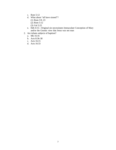- c. Rom 5:12
- d. What about "all have sinned"?
	- (1) Rom 3:9, 23
	- (2) Rom 5:12
	- (3) Gal 3:22
- e. Heb 4:15—Original sin necessitates Immaculate Conception of Mary and/or the Gnostic view that Jesus was not man
- 2. Are infants subjects of baptism?
	- a. Mk 16:16
	- b. Acts 8:36-38
	- c. Acts 16:15
	- d. Acts 16:33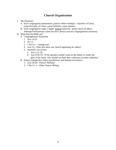# **Church Organization**

- I. The Doctrines
	- A. Each congregation autonomous, pastors=elders=bishops—churches of Christ, some Disciples of Christ, some Orthodox, some Quakers
	- B. Each congregation under a higher human authority—pretty much all others, although Presbyterians claim but don't always practice congregational autonomy
- II. What does the Bible say?
	- A. Congregational Autonomy
		- 1. Acts 14:23
		- 2. Tit 1:5
		- 3. 1 Pet 5:2—"among you"
		- 4. Acts 15—Does this show one church legislating for others?
		- 5. Apostolic succession
			- a. Acts 1:21-26
			- b. Acts 8:18-19—If the apostles couldn't pass on the ability to confer the gifts of the Spirit, why should we think they could pass on other authority?
	- B. Pastors (shepherds), elders (presbyters), and bishops (overseers)
		- 1. Acts 20:28—Pastors=Bishops
		- 2. 1 Pet 5:1-2—Elder=Pastor=Bishop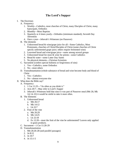## **The Lord's Supper**

- I. The Doctrines
	- A. Frequency
		- 1. Weekly—Catholics, most churches of Christ, many Disciples of Christ, many Episcopals, Orthodox
		- 2. Monthly—Most Baptists
		- 3. Quarterly or 4 times yearly—Orthodox (minimum standard), Seventh Day Adventists
		- 4. Once a year—Jehovah's Witnesses (on Passover)
	- B. The elements
		- 1. Unleavened bread & wine/grape juice for all—Some Catholics, Most Protestants, churches of Christ/Disciples of Christ (some churches of Christ specify unfermented grape juice; others require fermented wine)
		- 2. Leavened bread and wine/grape juice—some among several groups
		- 3. Unleavened bread for most & wine for priests—some Catholics
		- 4. Bread & water—some Latter Day Saints
		- 5. No physical elements—Christian Scientists
	- C. Sacrament (confers special holiness or forgiveness of sins)
		- 1. Yes—Catholics, some Orthodox
		- 2. No—most others
	- D. Transubstantiation (whole substance of bread and wine become body and blood of Christ
		- 1. Yes—Catholics
		- 2. No—almost everyone else
- II. What does the Bible say?
	- A. Frequency
		- 1. 1 Cor 11:25—"As often as you drink it."
		- 2. Acts 20:7—May refer to Lord's Supper
		- 3. Jehovah's Witnesses hold that since it was part of Passover meal (Mtt 26; Mk 14; Lk 22) it would be sinful to take it more often.
	- B. The Elements
		- 1. Unleavened bread
			- a. Mtt 26:17
			- b. Mk 14:12
			- c. Lk 22:7
		- 2. Fruit of the vine
			- a. Mtt 26:29
			- b. Mk 14:25
			- c. Lk 22:18
			- d. Ex 12:20—must the fruit of the vine be unfermented? Leaven only applied to grain products.
	- C. Sacrament—1 Cor 11:28-29
	- D. Transubstantiation
		- 1. Mtt 26:26-28 (and parallel passages)
		- 2. Jn 8:12
		- 3. Jn 10:7
		- 4. Jn 15:1-5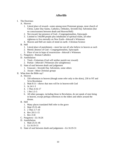# **Afterlife**

- I. The Doctrines
	- A. Heaven
		- 1. Literal place of reward—some among most Protestant groups, most church of Christ, Latter Day Saints, Catholics, Orthodox, Seventh Day Adventists (but no consciousness between death and Heaven/Hell)
		- 2. Not reward, but presence of God—Congregationalists, Episcopals
		- 3. Limited to 144,000 people plus inhabitants of spiritual realm, all other righteous to live eternally on New Earth—Jehovah's Witnesses
		- 4. Heaven and Hell are states of mind on earth—Christian Science
	- B. Hell
		- 1. Literal place of punishment—most but not all who believe in heaven as such
		- 2. Merely absence of God—Congregationalists, Episcopals
		- 3. Place of rest in hope of resurrection—Jehovah's Witnesses
	- C. Purgatory—Roman Catholics
	- D. Annihilation
		- 1. Total—Unitarians (God will neither punish nor reward)
		- 2. Partial—Jehovah's Witnesses (for unrighteous)
	- E. State of soul between death and judgement
		- 1. Unaware—Seventh Day Adventists, some others
		- 2. Aware—Most Christian groups
- II. What does the Bible say?
	- A. Heaven
		- 1. 550 references to heaven (though some refer only to the skies), 230 in NT and 54 in Revelation
		- 2. Matt 8:11—shows that men will be in heaven with God
		- 3. Jn 14:1-3
		- 4. 1 Thes 4:16-17
		- 5. 1 Pet 1:3-5
		- 6. All other passages, including those in Revelation, do not speak of men being in heaven, except perhaps references to the elders and others around the throne.
	- B. Hell
		- 1. Many places translated Hell refer to the grave
		- 2. Matt 25:31-46
		- 3. 2 Thes 1:7-10
		- 4. Rev 20:11-15
		- 5. Rev 21:8
	- C. Purgatory—Lk 16:26
	- D. Annihilation
		- 1. Matt 25:31-46
		- 2. Lk 16:19-31
	- E. State of soul between death and judgement—Lk 16:19-31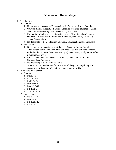### **Divorce and Remarriage**

- I. The doctrines
	- A. Divorce
		- 1. Under no circumstances—Episcopalians (in America), Roman Catholics
		- 2. Only for marital infidelity—Baptists, Disciples of Christ, churches of Christ, Jehovah's Witnesses, Quakers, Seventh Day Adventists
		- 3. For marital infidelity and certain serious causes (desertion, abuse)—some churches of Christ, Eastern Orthodox, Lutherans, Methodists, Latter Day Saints, Presbyterians
		- 4. No doctrinal position—Christian Scientists, Congregationalists, Unitarians
	- B. Remarriage
		- 1. No, as long as both partners are still alive—Quakers, Roman Catholics
		- 2. The wronged party—some churches of Christ, Disciples of Christ, Eastern Orthodox (but no more than three marriages), Methodists, Presbyterians (after a minimum of a year)
		- 3. Either, under some circumstances—Baptists, some churches of Christ, Episcopalians, Lutherans
		- 4. No doctrinal position—same as above
		- 5. A remarried person divorced for other than adultery must stop living with second mate if becomes a Christian—some churches of Christ
- II. What does the Bible say?
	- A. Divorce
		- 1. Deut 24:1
		- 2. Ezra 10:1-14
		- 3. Mal 2:14-16
		- 4. Matt 5:31-32
		- 5. Matt 19:3-12
		- 6. Mk 10:2-9
		- 7. 1 Cor 7:10-16
	- B. Remarriage
		- 1. Deut 24:2-4
		- 2. Matt 19:9
		- 3. Mk 10:10-12
		- 4. Lk 16:18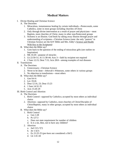# **Medical Matters**

- I. Divine Healing and Christian Science
	- A. The Doctrines
		- 1. Miraculous, instantaneous healing by certain individuals—Pentecostals, some Catholics, some in most groups including churches of Christ
		- 2. Only through divine intervention as a result of prayer and physicians—most Baptists, most churches of Christ, many in other non-Pentecostal groups
		- 3. Sickness is an illusion. God heals by taking away illusion through prayer and understanding of scriptures—Christian Science (note: the only "pastors" in Christian Science are the KJV Bible and Mrs. Eddy's Science and Health With Key to the Scriptures)
	- B. What does the Bible say?
		- 1. Goes back to the question of the ending of miraculous gifts (see outline on Inspiration)
		- 2. Mk 16:20—purpose of miracles
		- 3. Lk 22:50-51; Jn 11:38-44; Acts 3—faith by recipient not required
		- 4. 2 Sam 12:15; Deut 7:15; Acts 28:8—among examples of real diseases
- II. Transfusions
	- A. The Doctrines
		- 1. Unnecessary—Christian Science
		- 2. Never to be done—Jehovah's Witnesses, some others in various groups
		- 3. No objection to transfusions—most others
	- B. What does the Bible say?
		- 1. Gen 9:4-6
		- 2. Lev 19:26
		- 3. Deut 12:16, 23; Deut 15:23
		- 4. 1 Sam 14:32-35
		- 5. Acts 15:20-29
- III. Birth Control and Abortion
	- A. The Doctrines
		- 1. Birth Control—opposed by Catholics; accepted by most others as individual choice
		- 2. Abortion—opposed by Catholics, most churches of Christ/Disciples of Christ/Baptists, many in other groups; accepted by most others as individual choice
	- B. What does the Bible say?
		- 1. Birth Control
			- a. Gen 1:28
			- b. Ps 127:3
			- c. Does not state requirement for number of children
			- d. Is it a sin, then, not to have any children?
		- 2. Abortion
			- a. Jud 13:5-7(?)
			- b. Jer 1:5(?)
			- c. Ex 21:22-25 (pre-born not considered a life?)
			- d. Lk 1:41-44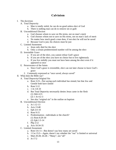# **Calvinism**

- I. The doctrines
	- A. Total Depravity
		- a. Man is totally sinful, he can do no good unless elect of God
		- b. There is nothing man can do to remove sin or guilt
	- B. Unconditional Election
		- a. God chooses whom to save on His terms, not on man's merit
		- b. God chooses whom not to save on His terms, not on man's lack of merit
		- c. No matter how much good a man does, if not elect he will not be saved
		- d. Because God is just, his choices must be just
	- C. Limited Atonement
		- a. Jesus only died for the elect
		- b. Only a certain predetermined number will be among the elect
	- D. Irresistible Grace
		- a. If you are of the elect, you cannot refuse God's grace
		- b. If you are of the elect you have no choice but to live righteously
		- c. If you live sinfully you must not have been among the elect even if it appeared so once
	- E. Perseverance of the Saints
		- a. Since God's grace is irresistible, elect can not later choose to leave God's grace
		- 2. Commonly expressed as "once saved, always saved"
- II. What does the Bible say?
	- A. Total Depravity/Original Sin
		- a. Rom 3:23—Not saying each individual has sinned, but that Jew and Gentile both have sinned
		- b. Rom 5:12
		- c. 1 Jn 1:8-10
		- d. But Total Depravity necessarily denies Jesus came in the flesh
			- (1) Heb 4:15
			- (2) 1 Jn 4:2-3
		- e. See also "original sin" in the outline on baptism
	- B. Unconditional Election
		- a. Jn 1:12-13
		- b. Acts 13:48
		- c. Eph 2:4-10
		- d. Rom 9:15
		- e. Predestination—individuals or the church?
			- (1) Rom 8:29-30
			- (2) Eph 1:3-14
		- f. Php 2:12
		- g. Acts 10:34-35
	- C. Limited Atonement
		- a. Rom 5:6-11—But doesn't say how many are saved
		- b. 1 Cor 15:3—Again, doesn't say whether the "our" is limited or universal
		- c. Matt 20:28; 26:28—"Many", not "all"
		- d. Jn 17:2